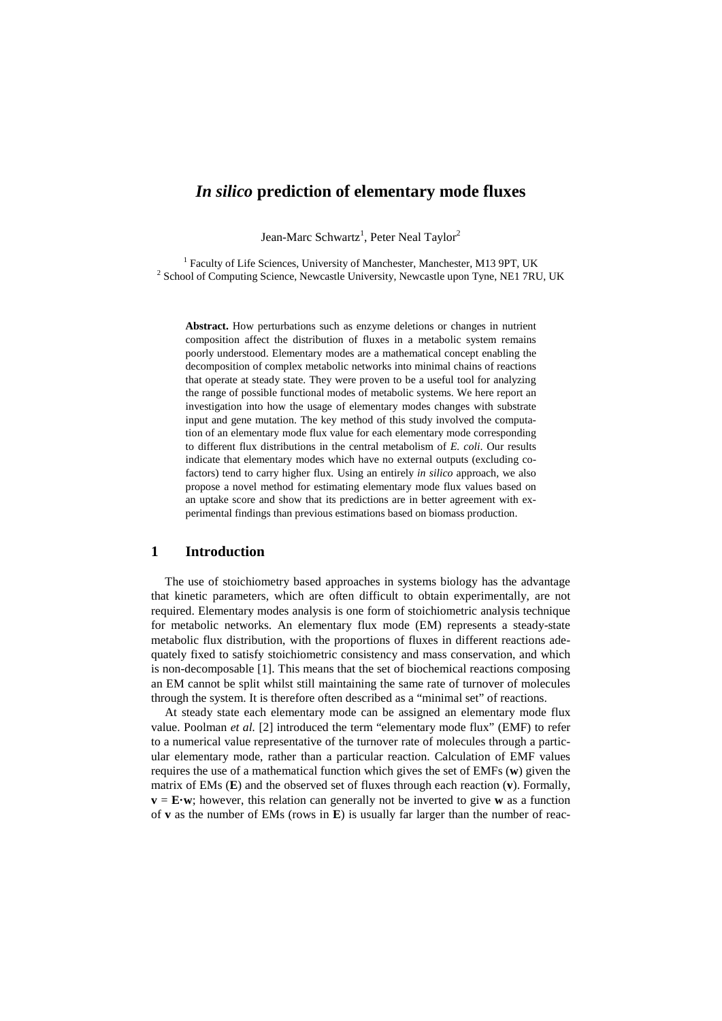# *In silico* **prediction of elementary mode fluxes**

Jean-Marc Schwartz<sup>1</sup>, Peter Neal Taylor<sup>2</sup>

<sup>1</sup> Faculty of Life Sciences, University of Manchester, Manchester, M13 9PT, UK <sup>2</sup> School of Computing Science, Newcastle University, Newcastle upon Tyne, NE1 7RU, UK

**Abstract.** How perturbations such as enzyme deletions or changes in nutrient composition affect the distribution of fluxes in a metabolic system remains poorly understood. Elementary modes are a mathematical concept enabling the decomposition of complex metabolic networks into minimal chains of reactions that operate at steady state. They were proven to be a useful tool for analyzing the range of possible functional modes of metabolic systems. We here report an investigation into how the usage of elementary modes changes with substrate input and gene mutation. The key method of this study involved the computation of an elementary mode flux value for each elementary mode corresponding to different flux distributions in the central metabolism of *E. coli*. Our results indicate that elementary modes which have no external outputs (excluding cofactors) tend to carry higher flux. Using an entirely *in silico* approach, we also propose a novel method for estimating elementary mode flux values based on an uptake score and show that its predictions are in better agreement with experimental findings than previous estimations based on biomass production.

### **1 Introduction**

The use of stoichiometry based approaches in systems biology has the advantage that kinetic parameters, which are often difficult to obtain experimentally, are not required. Elementary modes analysis is one form of stoichiometric analysis technique for metabolic networks. An elementary flux mode (EM) represents a steady-state metabolic flux distribution, with the proportions of fluxes in different reactions adequately fixed to satisfy stoichiometric consistency and mass conservation, and which is non-decomposable [1]. This means that the set of biochemical reactions composing an EM cannot be split whilst still maintaining the same rate of turnover of molecules through the system. It is therefore often described as a "minimal set" of reactions.

At steady state each elementary mode can be assigned an elementary mode flux value. Poolman *et al.* [2] introduced the term "elementary mode flux" (EMF) to refer to a numerical value representative of the turnover rate of molecules through a particular elementary mode, rather than a particular reaction. Calculation of EMF values requires the use of a mathematical function which gives the set of EMFs (**w**) given the matrix of EMs (**E**) and the observed set of fluxes through each reaction (**v**). Formally,  $\mathbf{v} = \mathbf{E} \cdot \mathbf{w}$ ; however, this relation can generally not be inverted to give **w** as a function of **v** as the number of EMs (rows in **E**) is usually far larger than the number of reac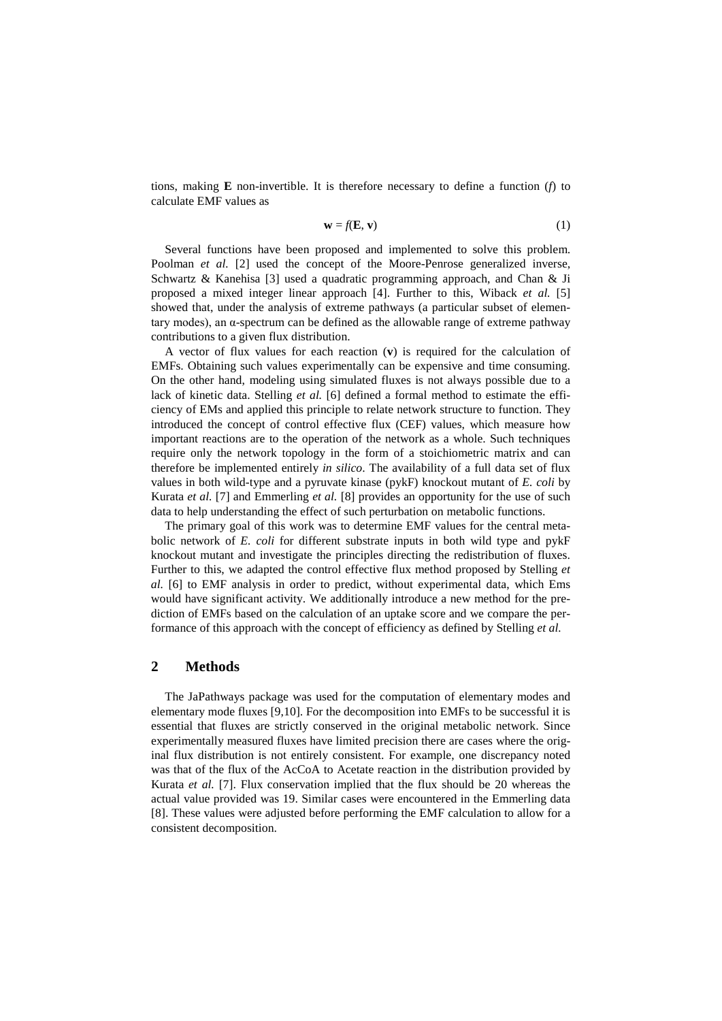tions, making  $\bf{E}$  non-invertible. It is therefore necessary to define a function ( $f$ ) to calculate EMF values as

$$
\mathbf{w} = f(\mathbf{E}, \mathbf{v}) \tag{1}
$$

Several functions have been proposed and implemented to solve this problem. Poolman *et al.* [2] used the concept of the Moore-Penrose generalized inverse, Schwartz & Kanehisa [3] used a quadratic programming approach, and Chan & Ji proposed a mixed integer linear approach [4]. Further to this, Wiback *et al.* [5] showed that, under the analysis of extreme pathways (a particular subset of elementary modes), an α-spectrum can be defined as the allowable range of extreme pathway contributions to a given flux distribution.

A vector of flux values for each reaction (**v**) is required for the calculation of EMFs. Obtaining such values experimentally can be expensive and time consuming. On the other hand, modeling using simulated fluxes is not always possible due to a lack of kinetic data. Stelling *et al.* [6] defined a formal method to estimate the efficiency of EMs and applied this principle to relate network structure to function. They introduced the concept of control effective flux (CEF) values, which measure how important reactions are to the operation of the network as a whole. Such techniques require only the network topology in the form of a stoichiometric matrix and can therefore be implemented entirely *in silico*. The availability of a full data set of flux values in both wild-type and a pyruvate kinase (pykF) knockout mutant of *E. coli* by Kurata *et al.* [7] and Emmerling *et al.* [8] provides an opportunity for the use of such data to help understanding the effect of such perturbation on metabolic functions.

The primary goal of this work was to determine EMF values for the central metabolic network of *E. coli* for different substrate inputs in both wild type and pykF knockout mutant and investigate the principles directing the redistribution of fluxes. Further to this, we adapted the control effective flux method proposed by Stelling *et al.* [6] to EMF analysis in order to predict, without experimental data, which Ems would have significant activity. We additionally introduce a new method for the prediction of EMFs based on the calculation of an uptake score and we compare the performance of this approach with the concept of efficiency as defined by Stelling *et al.*

#### **2 Methods**

The JaPathways package was used for the computation of elementary modes and elementary mode fluxes [9,10]. For the decomposition into EMFs to be successful it is essential that fluxes are strictly conserved in the original metabolic network. Since experimentally measured fluxes have limited precision there are cases where the original flux distribution is not entirely consistent. For example, one discrepancy noted was that of the flux of the AcCoA to Acetate reaction in the distribution provided by Kurata *et al.* [7]. Flux conservation implied that the flux should be 20 whereas the actual value provided was 19. Similar cases were encountered in the Emmerling data [8]. These values were adjusted before performing the EMF calculation to allow for a consistent decomposition.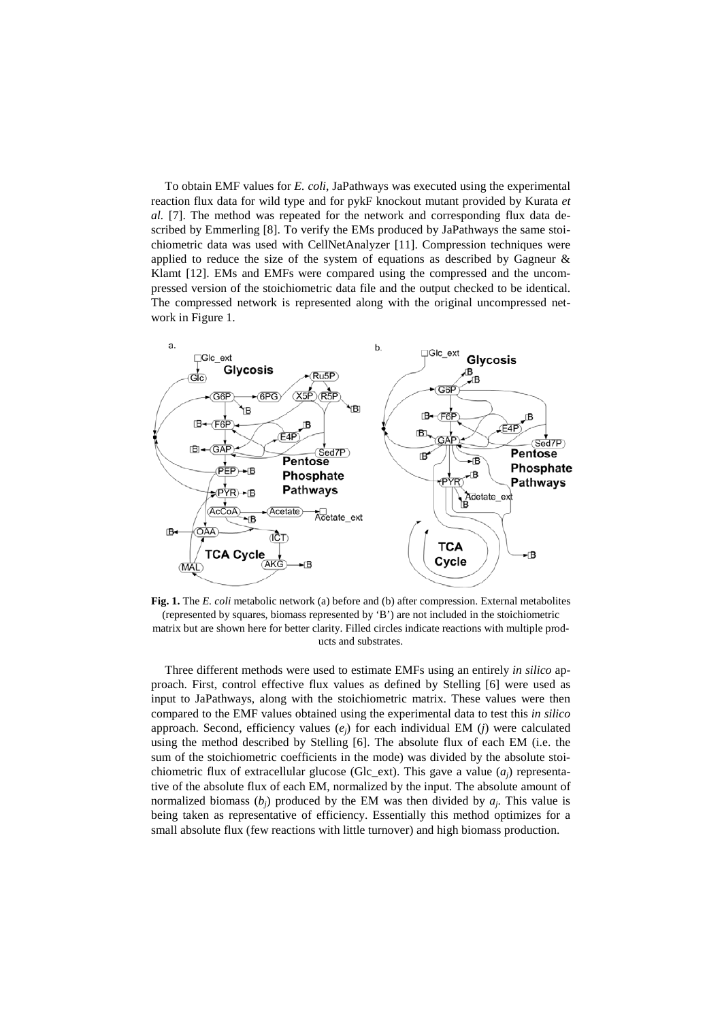To obtain EMF values for *E. coli*, JaPathways was executed using the experimental reaction flux data for wild type and for pykF knockout mutant provided by Kurata *et al.* [7]. The method was repeated for the network and corresponding flux data described by Emmerling [8]. To verify the EMs produced by JaPathways the same stoichiometric data was used with CellNetAnalyzer [11]. Compression techniques were applied to reduce the size of the system of equations as described by Gagneur & Klamt [12]. EMs and EMFs were compared using the compressed and the uncompressed version of the stoichiometric data file and the output checked to be identical. The compressed network is represented along with the original uncompressed network in Figure 1.



**Fig. 1.** The *E. coli* metabolic network (a) before and (b) after compression. External metabolites (represented by squares, biomass represented by 'B') are not included in the stoichiometric matrix but are shown here for better clarity. Filled circles indicate reactions with multiple products and substrates.

Three different methods were used to estimate EMFs using an entirely *in silico* approach. First, control effective flux values as defined by Stelling [6] were used as input to JaPathways, along with the stoichiometric matrix. These values were then compared to the EMF values obtained using the experimental data to test this *in silico* approach. Second, efficiency values (*ej*) for each individual EM (*j*) were calculated using the method described by Stelling [6]. The absolute flux of each EM (i.e. the sum of the stoichiometric coefficients in the mode) was divided by the absolute stoichiometric flux of extracellular glucose (Glc\_ext). This gave a value (*aj*) representative of the absolute flux of each EM, normalized by the input. The absolute amount of normalized biomass  $(b_i)$  produced by the EM was then divided by  $a_i$ . This value is being taken as representative of efficiency. Essentially this method optimizes for a small absolute flux (few reactions with little turnover) and high biomass production.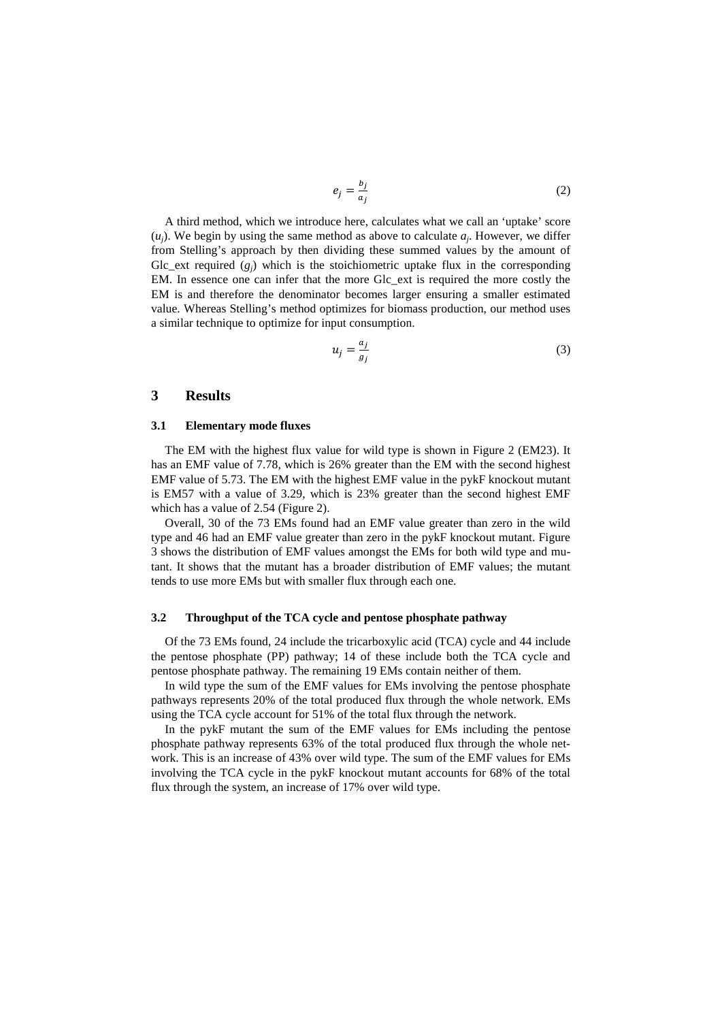$$
e_j = \frac{b_j}{a_j} \tag{2}
$$

A third method, which we introduce here, calculates what we call an 'uptake' score  $(u_i)$ . We begin by using the same method as above to calculate  $a_i$ . However, we differ from Stelling's approach by then dividing these summed values by the amount of Glc\_ext required  $(g_i)$  which is the stoichiometric uptake flux in the corresponding EM. In essence one can infer that the more Glc\_ext is required the more costly the EM is and therefore the denominator becomes larger ensuring a smaller estimated value. Whereas Stelling's method optimizes for biomass production, our method uses a similar technique to optimize for input consumption.

$$
u_j = \frac{a_j}{g_j} \tag{3}
$$

## **3 Results**

#### **3.1 Elementary mode fluxes**

The EM with the highest flux value for wild type is shown in Figure 2 (EM23). It has an EMF value of 7.78, which is 26% greater than the EM with the second highest EMF value of 5.73. The EM with the highest EMF value in the pykF knockout mutant is EM57 with a value of 3.29, which is 23% greater than the second highest EMF which has a value of 2.54 (Figure 2).

Overall, 30 of the 73 EMs found had an EMF value greater than zero in the wild type and 46 had an EMF value greater than zero in the pykF knockout mutant. Figure 3 shows the distribution of EMF values amongst the EMs for both wild type and mutant. It shows that the mutant has a broader distribution of EMF values; the mutant tends to use more EMs but with smaller flux through each one.

### **3.2 Throughput of the TCA cycle and pentose phosphate pathway**

Of the 73 EMs found, 24 include the tricarboxylic acid (TCA) cycle and 44 include the pentose phosphate (PP) pathway; 14 of these include both the TCA cycle and pentose phosphate pathway. The remaining 19 EMs contain neither of them.

In wild type the sum of the EMF values for EMs involving the pentose phosphate pathways represents 20% of the total produced flux through the whole network. EMs using the TCA cycle account for 51% of the total flux through the network.

In the pykF mutant the sum of the EMF values for EMs including the pentose phosphate pathway represents 63% of the total produced flux through the whole network. This is an increase of 43% over wild type. The sum of the EMF values for EMs involving the TCA cycle in the pykF knockout mutant accounts for 68% of the total flux through the system, an increase of 17% over wild type.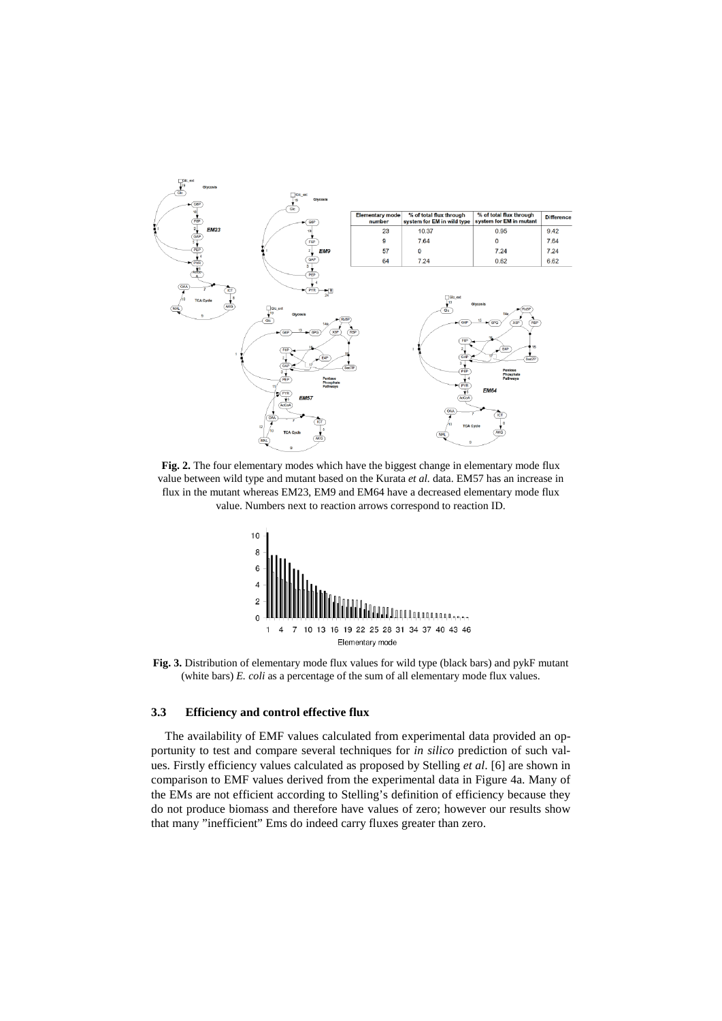

**Fig. 2.** The four elementary modes which have the biggest change in elementary mode flux value between wild type and mutant based on the Kurata *et al.* data. EM57 has an increase in flux in the mutant whereas EM23, EM9 and EM64 have a decreased elementary mode flux value. Numbers next to reaction arrows correspond to reaction ID.



**Fig. 3.** Distribution of elementary mode flux values for wild type (black bars) and pykF mutant (white bars) *E. coli* as a percentage of the sum of all elementary mode flux values.

#### **3.3 Efficiency and control effective flux**

The availability of EMF values calculated from experimental data provided an opportunity to test and compare several techniques for *in silico* prediction of such values. Firstly efficiency values calculated as proposed by Stelling *et al*. [6] are shown in comparison to EMF values derived from the experimental data in Figure 4a. Many of the EMs are not efficient according to Stelling's definition of efficiency because they do not produce biomass and therefore have values of zero; however our results show that many "inefficient" Ems do indeed carry fluxes greater than zero.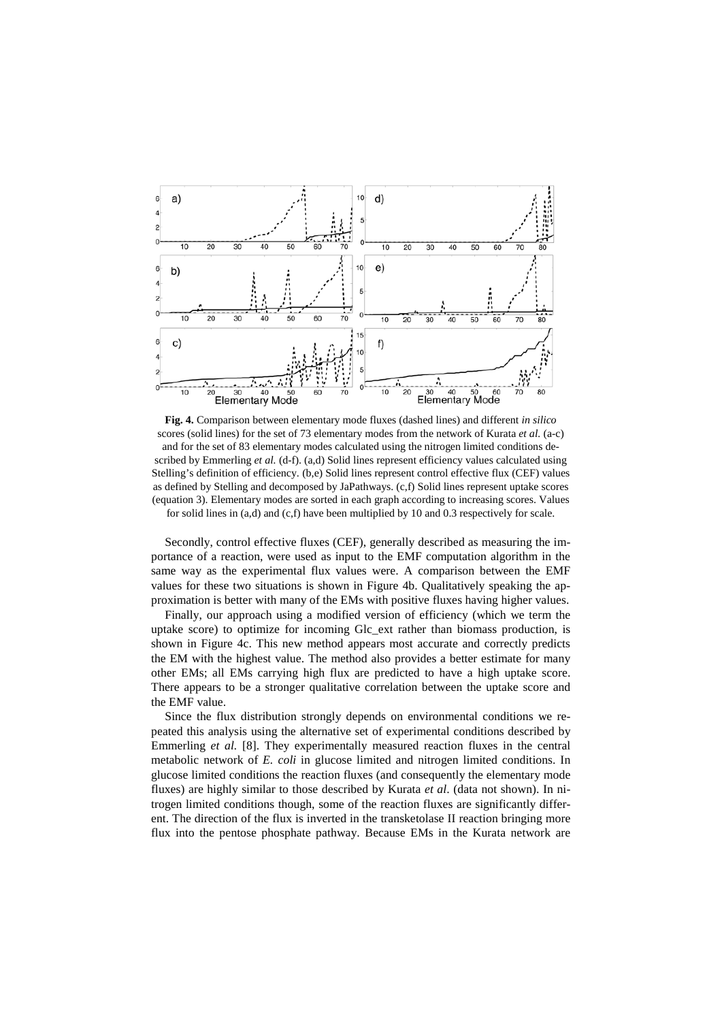

**Fig. 4.** Comparison between elementary mode fluxes (dashed lines) and different *in silico* scores (solid lines) for the set of 73 elementary modes from the network of Kurata *et al.* (a-c) and for the set of 83 elementary modes calculated using the nitrogen limited conditions described by Emmerling *et al.* (d-f). (a,d) Solid lines represent efficiency values calculated using Stelling's definition of efficiency. (b,e) Solid lines represent control effective flux (CEF) values as defined by Stelling and decomposed by JaPathways. (c,f) Solid lines represent uptake scores (equation 3). Elementary modes are sorted in each graph according to increasing scores. Values for solid lines in (a,d) and (c,f) have been multiplied by 10 and 0.3 respectively for scale.

Secondly, control effective fluxes (CEF), generally described as measuring the importance of a reaction, were used as input to the EMF computation algorithm in the same way as the experimental flux values were. A comparison between the EMF values for these two situations is shown in Figure 4b. Qualitatively speaking the approximation is better with many of the EMs with positive fluxes having higher values.

Finally, our approach using a modified version of efficiency (which we term the uptake score) to optimize for incoming Glc\_ext rather than biomass production, is shown in Figure 4c. This new method appears most accurate and correctly predicts the EM with the highest value. The method also provides a better estimate for many other EMs; all EMs carrying high flux are predicted to have a high uptake score. There appears to be a stronger qualitative correlation between the uptake score and the EMF value.

Since the flux distribution strongly depends on environmental conditions we repeated this analysis using the alternative set of experimental conditions described by Emmerling *et al.* [8]. They experimentally measured reaction fluxes in the central metabolic network of *E. coli* in glucose limited and nitrogen limited conditions. In glucose limited conditions the reaction fluxes (and consequently the elementary mode fluxes) are highly similar to those described by Kurata *et al*. (data not shown). In nitrogen limited conditions though, some of the reaction fluxes are significantly different. The direction of the flux is inverted in the transketolase II reaction bringing more flux into the pentose phosphate pathway. Because EMs in the Kurata network are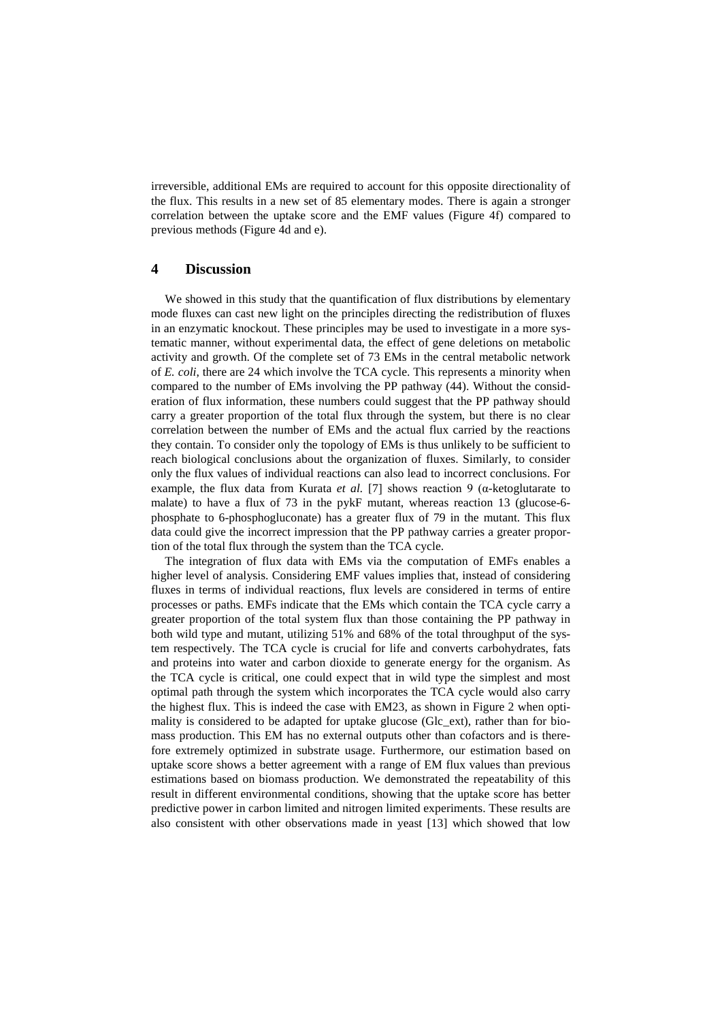irreversible, additional EMs are required to account for this opposite directionality of the flux. This results in a new set of 85 elementary modes. There is again a stronger correlation between the uptake score and the EMF values (Figure 4f) compared to previous methods (Figure 4d and e).

#### **4 Discussion**

We showed in this study that the quantification of flux distributions by elementary mode fluxes can cast new light on the principles directing the redistribution of fluxes in an enzymatic knockout. These principles may be used to investigate in a more systematic manner, without experimental data, the effect of gene deletions on metabolic activity and growth. Of the complete set of 73 EMs in the central metabolic network of *E. coli*, there are 24 which involve the TCA cycle. This represents a minority when compared to the number of EMs involving the PP pathway (44). Without the consideration of flux information, these numbers could suggest that the PP pathway should carry a greater proportion of the total flux through the system, but there is no clear correlation between the number of EMs and the actual flux carried by the reactions they contain. To consider only the topology of EMs is thus unlikely to be sufficient to reach biological conclusions about the organization of fluxes. Similarly, to consider only the flux values of individual reactions can also lead to incorrect conclusions. For example, the flux data from Kurata *et al.* [7] shows reaction 9 (α-ketoglutarate to malate) to have a flux of 73 in the pykF mutant, whereas reaction 13 (glucose-6 phosphate to 6-phosphogluconate) has a greater flux of 79 in the mutant. This flux data could give the incorrect impression that the PP pathway carries a greater proportion of the total flux through the system than the TCA cycle.

The integration of flux data with EMs via the computation of EMFs enables a higher level of analysis. Considering EMF values implies that, instead of considering fluxes in terms of individual reactions, flux levels are considered in terms of entire processes or paths. EMFs indicate that the EMs which contain the TCA cycle carry a greater proportion of the total system flux than those containing the PP pathway in both wild type and mutant, utilizing 51% and 68% of the total throughput of the system respectively. The TCA cycle is crucial for life and converts carbohydrates, fats and proteins into water and carbon dioxide to generate energy for the organism. As the TCA cycle is critical, one could expect that in wild type the simplest and most optimal path through the system which incorporates the TCA cycle would also carry the highest flux. This is indeed the case with EM23, as shown in Figure 2 when optimality is considered to be adapted for uptake glucose (Glc\_ext), rather than for biomass production. This EM has no external outputs other than cofactors and is therefore extremely optimized in substrate usage. Furthermore, our estimation based on uptake score shows a better agreement with a range of EM flux values than previous estimations based on biomass production. We demonstrated the repeatability of this result in different environmental conditions, showing that the uptake score has better predictive power in carbon limited and nitrogen limited experiments. These results are also consistent with other observations made in yeast [13] which showed that low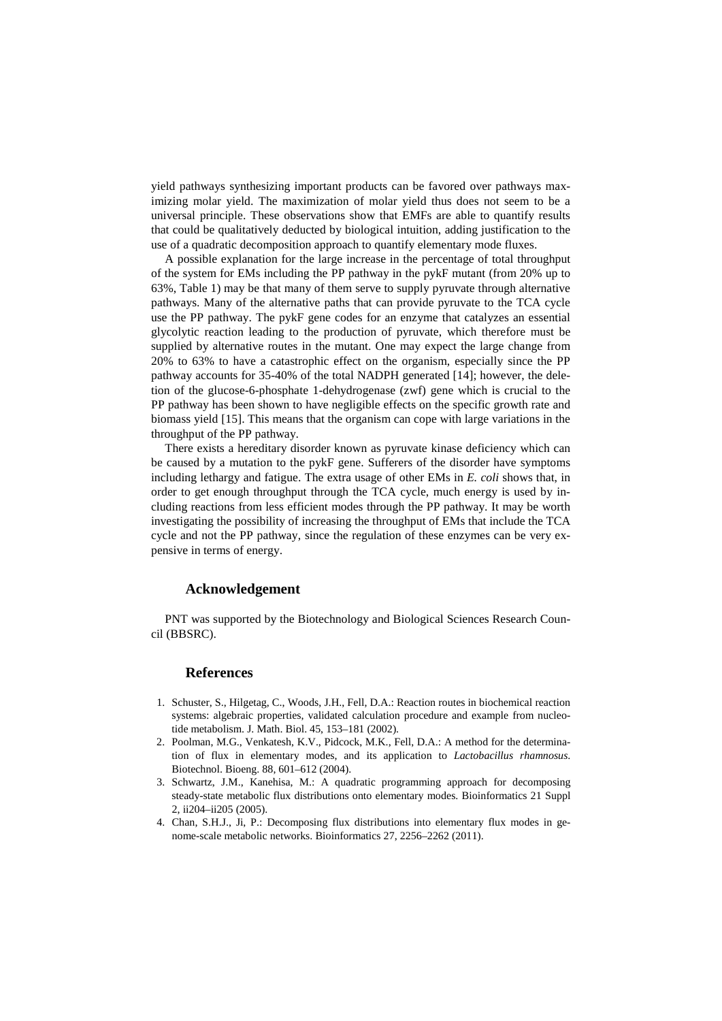yield pathways synthesizing important products can be favored over pathways maximizing molar yield. The maximization of molar yield thus does not seem to be a universal principle. These observations show that EMFs are able to quantify results that could be qualitatively deducted by biological intuition, adding justification to the use of a quadratic decomposition approach to quantify elementary mode fluxes.

A possible explanation for the large increase in the percentage of total throughput of the system for EMs including the PP pathway in the pykF mutant (from 20% up to 63%, Table 1) may be that many of them serve to supply pyruvate through alternative pathways. Many of the alternative paths that can provide pyruvate to the TCA cycle use the PP pathway. The pykF gene codes for an enzyme that catalyzes an essential glycolytic reaction leading to the production of pyruvate, which therefore must be supplied by alternative routes in the mutant. One may expect the large change from 20% to 63% to have a catastrophic effect on the organism, especially since the PP pathway accounts for 35-40% of the total NADPH generated [14]; however, the deletion of the glucose-6-phosphate 1-dehydrogenase (zwf) gene which is crucial to the PP pathway has been shown to have negligible effects on the specific growth rate and biomass yield [15]. This means that the organism can cope with large variations in the throughput of the PP pathway.

There exists a hereditary disorder known as pyruvate kinase deficiency which can be caused by a mutation to the pykF gene. Sufferers of the disorder have symptoms including lethargy and fatigue. The extra usage of other EMs in *E. coli* shows that, in order to get enough throughput through the TCA cycle, much energy is used by including reactions from less efficient modes through the PP pathway. It may be worth investigating the possibility of increasing the throughput of EMs that include the TCA cycle and not the PP pathway, since the regulation of these enzymes can be very expensive in terms of energy.

### **Acknowledgement**

PNT was supported by the Biotechnology and Biological Sciences Research Council (BBSRC).

### **References**

- 1. Schuster, S., Hilgetag, C., Woods, J.H., Fell, D.A.: Reaction routes in biochemical reaction systems: algebraic properties, validated calculation procedure and example from nucleotide metabolism. J. Math. Biol. 45, 153–181 (2002).
- 2. Poolman, M.G., Venkatesh, K.V., Pidcock, M.K., Fell, D.A.: A method for the determination of flux in elementary modes, and its application to *Lactobacillus rhamnosus*. Biotechnol. Bioeng. 88, 601–612 (2004).
- 3. Schwartz, J.M., Kanehisa, M.: A quadratic programming approach for decomposing steady-state metabolic flux distributions onto elementary modes. Bioinformatics 21 Suppl 2, ii204–ii205 (2005).
- 4. Chan, S.H.J., Ji, P.: Decomposing flux distributions into elementary flux modes in genome-scale metabolic networks. Bioinformatics 27, 2256–2262 (2011).